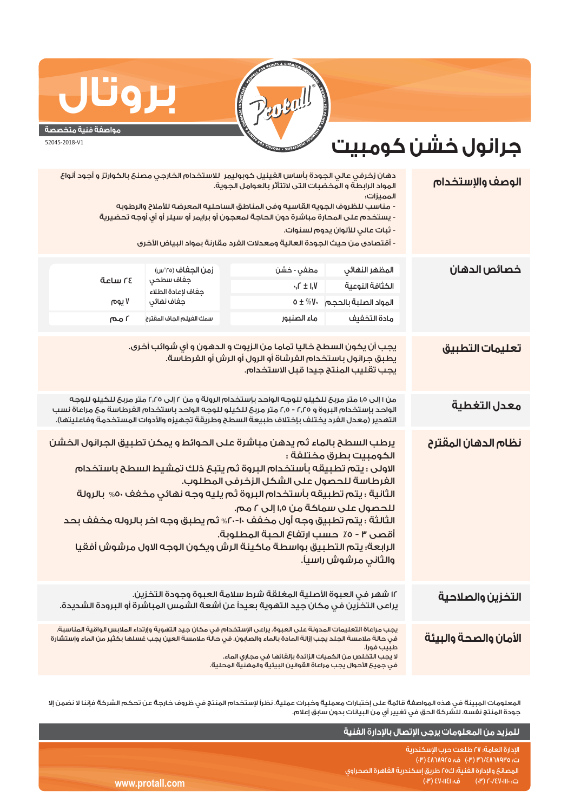## **REGIL USTRIES . PROTALL**

## **مواصفة فنية متخصصة**

**بروتال**

52045-2018-V1

## **جرانول خشن كومبيت**

| الوصف والإستخدام      | المميزات:<br>- ثبات عالي للألوان يدوم لسنوات.                                                                                                                                                                                                                                                                                                                                | دهان زخرفي عالي الجودة بأساس الفينيل كوبوليمر اللاستخدام الخارجي مصنع بالكوارتز و أجود أنواع<br>المواد الرابطة و المخضبات التن لاتتأثر بالعوامل الجوية.<br>- مناسب للظروف الجويه القاسيه وفى المناطق الساحليه المعرضه للأملاح والرطوبه<br>- يستخدم على المحارة مباشرة دون الحاجة لمعجون أو برايمر أو سيلر أو أي أوجه تحضيرية<br>- أقتصادى من حيث الجودة العالية ومعدلات الفرد مقارنة بمواد البياض الأخرى                                                                                                      |                                                                                                |                          |
|-----------------------|------------------------------------------------------------------------------------------------------------------------------------------------------------------------------------------------------------------------------------------------------------------------------------------------------------------------------------------------------------------------------|---------------------------------------------------------------------------------------------------------------------------------------------------------------------------------------------------------------------------------------------------------------------------------------------------------------------------------------------------------------------------------------------------------------------------------------------------------------------------------------------------------------|------------------------------------------------------------------------------------------------|--------------------------|
| خصائص الدهان          | المظهر النهائي<br>الكثافة النوعية<br>المواد الصلبة بالحجم     \V * ± 0<br>مادة التخفيف                                                                                                                                                                                                                                                                                       | مطفي - خشن<br>$\cdot$ , $\Gamma \pm 1$ , $V$<br>ماء الصنبور                                                                                                                                                                                                                                                                                                                                                                                                                                                   | زمن الجغاف (٢٥°س)<br>جفاف سطحي<br>جفاف لإعادة الطلاء<br>جفاف نهائي<br>سمك الغيلم الجاف المقترح | ةدلس ٢٤<br>۷ یوم<br>سه ۱ |
| تعليمات التطبيق       |                                                                                                                                                                                                                                                                                                                                                                              | يجب أن يكون السطح خاليا تماما من الزيوت و الدهون و أي شوائب أخرى.<br>يطبق جرانول باستخدام الفرشاة أو الرول أو الرش أو الفرطاسة.<br>يجب تقليب المنتج جيدا قبل الاستخدام.                                                                                                                                                                                                                                                                                                                                       |                                                                                                |                          |
| معدل التغطية          | من ۱ إلى ١٫٥ متر مربح للكيلو للوجه الواحد بإستخدام الرولة و من ٢ إلى ٢٫٢٥ متر مربح للكيلو للوجه<br>الواحد بإستخدام البروة و ٢,٢٥ - ٢,٥ متر مربع للكيلو للوجه الواحد باستخدام الفرطاسة مع مراعاة نسب<br>التهدير (معدل الفرد يختلف بإختلاف طبيعة السطح وطريقة تجهيزه والأدوات المستخدمة وفاعليتها).                                                                            |                                                                                                                                                                                                                                                                                                                                                                                                                                                                                                               |                                                                                                |                          |
| نظام الدهان المقترح   | الكومبيت بطرق مختلفة :<br>والثاني مرشوش راسياً.                                                                                                                                                                                                                                                                                                                              | يرطب السطح بالماء ثم يدهن مباشرة على الحوائط و يمكن تطبيق الجرانول الخشن<br>الاولى : يتم تطبيقه بأستخدام البروة ثم يتبع ذلك تمشيط السطح باستخدام<br>الفرطاسة للحصول على الشكل الزخرفي المطلوب.<br>الثانية : يتم تطبيقه بأستخدام البروة ثم يليه وجه نهائى مخفف ٥٠% بالرولة<br>للحصول على سماكة من ١,٥ إلى ٢ مم.<br>الثالثة : يتم تطبيق وجه أول مخفف ١٠-٢٠% ثم يطبق وجه اخر بالروله مخفف بحد<br>أقصى ٣ - ٥٪ حسب ارتفاع الحبة المطلوبة.<br>الرابعة؛ يتم التطبيق بواسطة ماكينة الرش ويكون الوجه الاول مرشوش أفقيا |                                                                                                |                          |
| التخزين والصلاحية     |                                                                                                                                                                                                                                                                                                                                                                              | ١٢ شهر في العبوة الأصلية المغلقة شرط سلامة العبوة وجودة التخزين.<br>يراعى التخزِّين في مكان جيد التهوية بعيداً عن أشعة الشمس المباشرة أو البرودة الشديدة.                                                                                                                                                                                                                                                                                                                                                     |                                                                                                |                          |
| الأمان والصحة والبيئة | يجب مراعاة التعليمات المدونة على العبوة. يراعى الإستخدام في مكان جيد التهوية وإرتداء الملابس الواقية المناسبة.<br>في حالة ملامسة الجلد يجب إزالة المادة بالماء والصابون. في حالة ملامسة العين يجب غسلها بكثير من الماء وإستشارة<br>طبيب فورا.<br>لا يجب التخلص من الكميات الزائدة بإلقائها فى مجارى الماء.<br>في جميعَ الأحوال يجب مراعاة القوانين البيئية والمهنية المحلية. |                                                                                                                                                                                                                                                                                                                                                                                                                                                                                                               |                                                                                                |                          |

المعلومات المبينة في هذه المواصفة قائمة على إختبارات معملية وخبرات عملية. نظراً لإستخدام المنتج في ظروف خارجة عن تحكم الشركة فإننا لا نضمن إلا جودة المنتج نفسه. للشركة الحق في تغيير أي من البيانات بدون سابق إعلام.

|                 | للمزيد من المعلومات يرجى الإتصال بالإدارة الفنية                              |
|-----------------|-------------------------------------------------------------------------------|
|                 | الإدارة العامة؛ ٢٧ طلعت حرب الإسكندرية<br>ت: ۴/۸٦٨٩٢٥/٢٣ (٣٠) ف: ٤٨٦٨٩٢٥ (٣٠) |
|                 | ً المصانعَ والإدارةَ الفَنية؛ ك٥٥ طريق إسكندرية القاهرة الصحراوى ر            |
| www.protall.com | رت: ۲۰/٤٧٠١١١٠ (۳)           ف: ٤٧٠١١٤١ (۳) ا                                 |